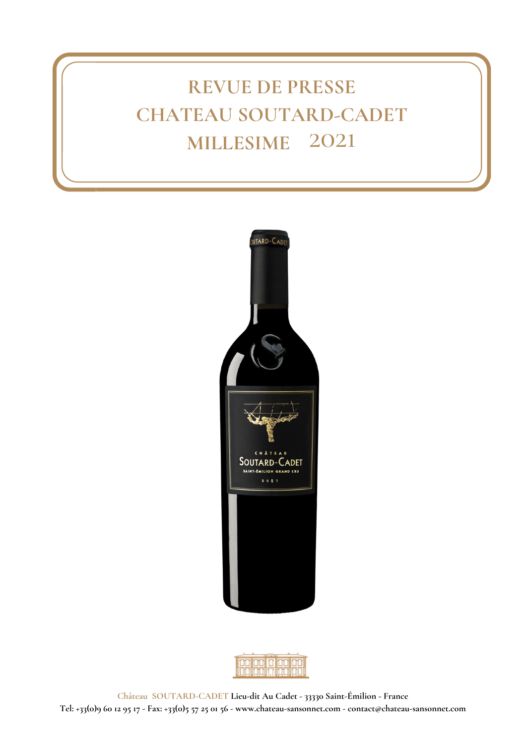# **REVUE DE PRESSE CHATEAU SOUTARD-CADET MILLESIME** 2021



|  | n m                       |  |
|--|---------------------------|--|
|  |                           |  |
|  |                           |  |
|  | <u>WY II, II WY II WY</u> |  |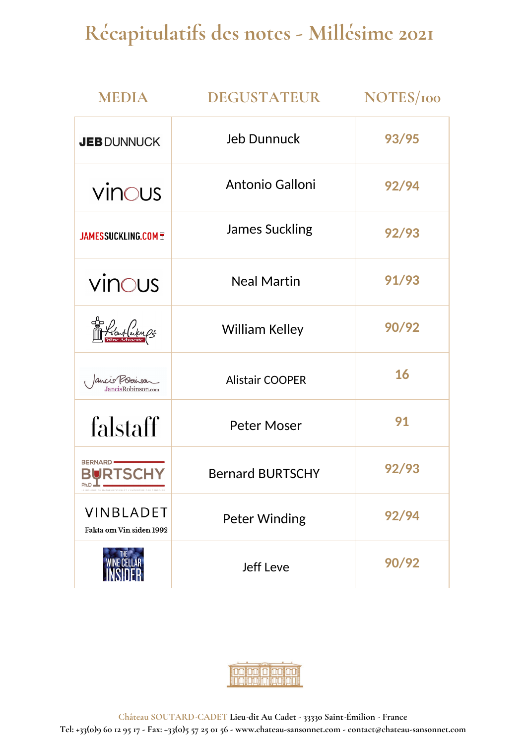# **Récapitulatifs des notes - Millésime 2021**

| <b>MEDIA</b>                                                                                                                   | DEGUSTATEUR             | NOTES/100 |
|--------------------------------------------------------------------------------------------------------------------------------|-------------------------|-----------|
| <b>JEB DUNNUCK</b>                                                                                                             | <b>Jeb Dunnuck</b>      | 93/95     |
| vinous                                                                                                                         | Antonio Galloni         | 92/94     |
| <b>JAMESSUCKLING.COM T</b>                                                                                                     | <b>James Suckling</b>   | 92/93     |
| vinous                                                                                                                         | <b>Neal Martin</b>      | 91/93     |
| Losuflecky ps                                                                                                                  | <b>William Kelley</b>   | 90/92     |
| Jancis Robonson<br>ancisRobinson.com                                                                                           | <b>Alistair COOPER</b>  | 16        |
| falstaff                                                                                                                       | <b>Peter Moser</b>      | 91        |
| <b>BERNARD</b><br>BURTSCHY<br>$Ph.D \rightharpoonup \rightharpoonup$<br>LA RIGUEUR DU MATHÉMATICIEN ET L'EXPERTISE DES TERROIR | <b>Bernard BURTSCHY</b> | 92/93     |
| <b>VINBLADET</b><br>Fakta om Vin siden 1992                                                                                    | <b>Peter Winding</b>    | 92/94     |
|                                                                                                                                | <b>Jeff Leve</b>        | 90/92     |

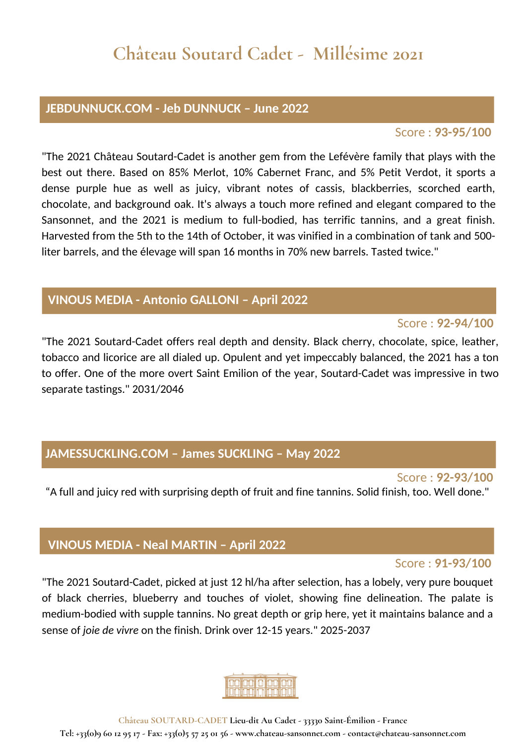### **JEBDUNNUCK.COM - Jeb DUNNUCK – June 2022**

### Score : **93-95/100**

"The 2021 Château Soutard-Cadet is another gem from the Lefévère family that plays with the best out there. Based on 85% Merlot, 10% Cabernet Franc, and 5% Petit Verdot, it sports a dense purple hue as well as juicy, vibrant notes of cassis, blackberries, scorched earth, chocolate, and background oak. It's always a touch more refined and elegant compared to the Sansonnet, and the 2021 is medium to full-bodied, has terrific tannins, and a great finish. Harvested from the 5th to the 14th of October, it was vinified in a combination of tank and 500 liter barrels, and the élevage will span 16 months in 70% new barrels. Tasted twice."

# **VINOUS MEDIA - Antonio GALLONI – April 2022**

# Score : **92-94/100**

"The 2021 Soutard-Cadet offers real depth and density. Black cherry, chocolate, spice, leather, tobacco and licorice are all dialed up. Opulent and yet impeccably balanced, the 2021 has a ton to offer. One of the more overt Saint Emilion of the year, Soutard-Cadet was impressive in two separate tastings." 2031/2046

# **JAMESSUCKLING.COM – James SUCKLING – May 2022**

Score : **92-93/100** "A full and juicy red with surprising depth of fruit and fine tannins. Solid finish, too. Well done."

# **VINOUS MEDIA - Neal MARTIN – April 2022**

#### Score : **91-93/100**

"The 2021 Soutard-Cadet, picked at just 12 hl/ha after selection, has a lobely, very pure bouquet of black cherries, blueberry and touches of violet, showing fine delineation. The palate is medium-bodied with supple tannins. No great depth or grip here, yet it maintains balance and a sense of *joie de vivre* on the finish*.* Drink over 12-15 years." 2025-2037